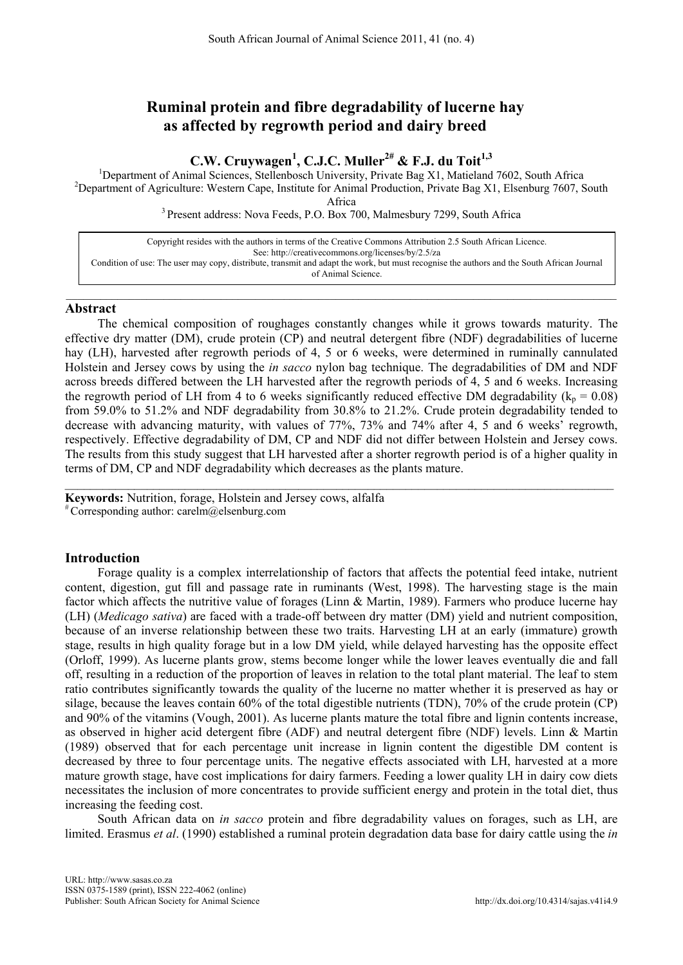# **Ruminal protein and fibre degradability of lucerne hay as affected by regrowth period and dairy breed**

**C.W. Cruywagen1 , C.J.C. Muller2# & F.J. du Toit1,3**

<sup>1</sup>Department of Animal Sciences, Stellenbosch University, Private Bag X1, Matieland 7602, South Africa<br><sup>2</sup>Department of Agriculture: Western Cape, Institute for Animal Production, Private Bag X1, Elemburg 7607, 8 <sup>2</sup>Department of Agriculture: Western Cape, Institute for Animal Production, Private Bag X1, Elsenburg 7607, South

Africa<br><sup>3</sup> Present address: Nova Feeds, P.O. Box 700, Malmesbury 7299, South Africa

Copyright resides with the authors in terms of the Creative Commons Attribution 2.5 South African Licence. See[: http://creativecommons.org/licenses/by/2.5/za](http://creativecommons.org/licenses/by/2.5/za) Condition of use: The user may copy, distribute, transmit and adapt the work, but must recognise the authors and the South African Journal of Animal Science.

\_\_\_\_\_\_\_\_\_\_\_\_\_\_\_\_\_\_\_\_\_\_\_\_\_\_\_\_\_\_\_\_\_\_\_\_\_\_\_\_\_\_\_\_\_\_\_\_\_\_\_\_\_\_\_\_\_\_\_\_\_\_\_\_\_\_\_\_\_\_\_\_\_\_\_\_\_\_\_\_\_\_\_\_\_\_\_\_\_\_\_\_\_\_\_\_

## **Abstract**

The chemical composition of roughages constantly changes while it grows towards maturity. The effective dry matter (DM), crude protein (CP) and neutral detergent fibre (NDF) degradabilities of lucerne hay (LH), harvested after regrowth periods of 4, 5 or 6 weeks, were determined in ruminally cannulated Holstein and Jersey cows by using the *in sacco* nylon bag technique. The degradabilities of DM and NDF across breeds differed between the LH harvested after the regrowth periods of 4, 5 and 6 weeks. Increasing the regrowth period of LH from 4 to 6 weeks significantly reduced effective DM degradability ( $k_p = 0.08$ ) from 59.0% to 51.2% and NDF degradability from 30.8% to 21.2%. Crude protein degradability tended to decrease with advancing maturity, with values of 77%, 73% and 74% after 4, 5 and 6 weeks' regrowth, respectively. Effective degradability of DM, CP and NDF did not differ between Holstein and Jersey cows. The results from this study suggest that LH harvested after a shorter regrowth period is of a higher quality in terms of DM, CP and NDF degradability which decreases as the plants mature.

\_\_\_\_\_\_\_\_\_\_\_\_\_\_\_\_\_\_\_\_\_\_\_\_\_\_\_\_\_\_\_\_\_\_\_\_\_\_\_\_\_\_\_\_\_\_\_\_\_\_\_\_\_\_\_\_\_\_\_\_\_\_\_\_\_\_\_\_\_\_\_\_\_\_\_\_\_\_\_\_\_\_\_\_\_\_\_

**Keywords:** Nutrition, forage, Holstein and Jersey cows, alfalfa #Corresponding author: [carelm@elsenburg.com](mailto:carelm@elsenburg.com)

# **Introduction**

Forage quality is a complex interrelationship of factors that affects the potential feed intake, nutrient content, digestion, gut fill and passage rate in ruminants (West, 1998). The harvesting stage is the main factor which affects the nutritive value of forages (Linn & Martin, 1989). Farmers who produce lucerne hay (LH) (*Medicago sativa*) are faced with a trade-off between dry matter (DM) yield and nutrient composition, because of an inverse relationship between these two traits. Harvesting LH at an early (immature) growth stage, results in high quality forage but in a low DM yield, while delayed harvesting has the opposite effect (Orloff, 1999). As lucerne plants grow, stems become longer while the lower leaves eventually die and fall off, resulting in a reduction of the proportion of leaves in relation to the total plant material. The leaf to stem ratio contributes significantly towards the quality of the lucerne no matter whether it is preserved as hay or silage, because the leaves contain 60% of the total digestible nutrients (TDN), 70% of the crude protein (CP) and 90% of the vitamins (Vough, 2001). As lucerne plants mature the total fibre and lignin contents increase, as observed in higher acid detergent fibre (ADF) and neutral detergent fibre (NDF) levels. Linn & Martin (1989) observed that for each percentage unit increase in lignin content the digestible DM content is decreased by three to four percentage units. The negative effects associated with LH, harvested at a more mature growth stage, have cost implications for dairy farmers. Feeding a lower quality LH in dairy cow diets necessitates the inclusion of more concentrates to provide sufficient energy and protein in the total diet, thus increasing the feeding cost.

South African data on *in sacco* protein and fibre degradability values on forages, such as LH, are limited. Erasmus *et al*. (1990) established a ruminal protein degradation data base for dairy cattle using the *in*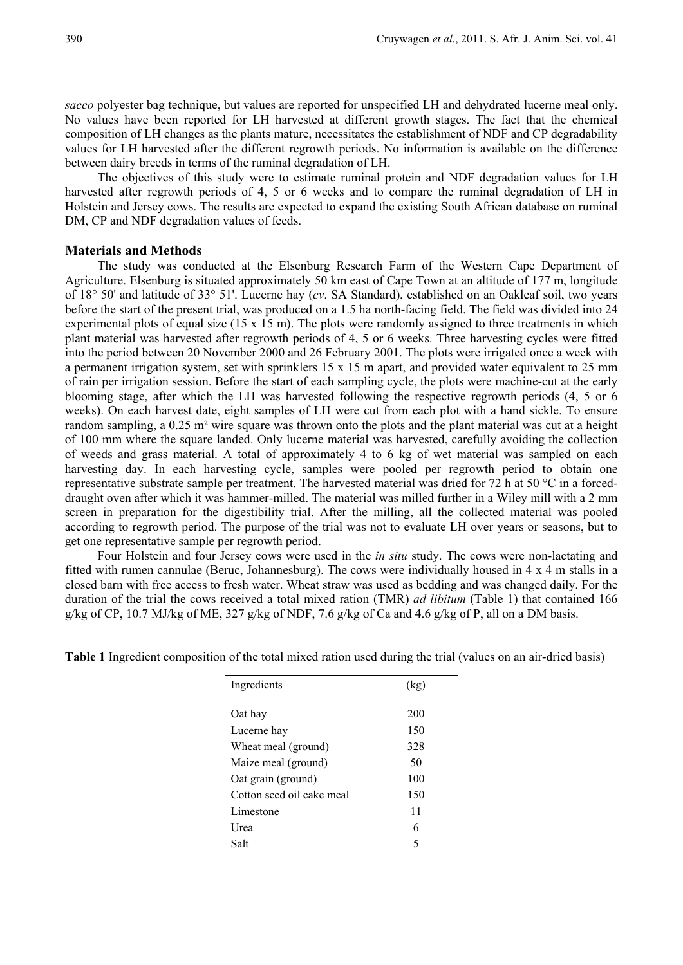*sacco* polyester bag technique, but values are reported for unspecified LH and dehydrated lucerne meal only. No values have been reported for LH harvested at different growth stages. The fact that the chemical composition of LH changes as the plants mature, necessitates the establishment of NDF and CP degradability values for LH harvested after the different regrowth periods. No information is available on the difference between dairy breeds in terms of the ruminal degradation of LH.

The objectives of this study were to estimate ruminal protein and NDF degradation values for LH harvested after regrowth periods of 4, 5 or 6 weeks and to compare the ruminal degradation of LH in Holstein and Jersey cows. The results are expected to expand the existing South African database on ruminal DM, CP and NDF degradation values of feeds.

#### **Materials and Methods**

The study was conducted at the Elsenburg Research Farm of the Western Cape Department of Agriculture. Elsenburg is situated approximately 50 km east of Cape Town at an altitude of 177 m, longitude of 18° 50' and latitude of 33° 51'. Lucerne hay (*cv*. SA Standard), established on an Oakleaf soil, two years before the start of the present trial, was produced on a 1.5 ha north-facing field. The field was divided into 24 experimental plots of equal size (15 x 15 m). The plots were randomly assigned to three treatments in which plant material was harvested after regrowth periods of 4, 5 or 6 weeks. Three harvesting cycles were fitted into the period between 20 November 2000 and 26 February 2001. The plots were irrigated once a week with a permanent irrigation system, set with sprinklers 15 x 15 m apart, and provided water equivalent to 25 mm of rain per irrigation session. Before the start of each sampling cycle, the plots were machine-cut at the early blooming stage, after which the LH was harvested following the respective regrowth periods (4, 5 or 6 weeks). On each harvest date, eight samples of LH were cut from each plot with a hand sickle. To ensure random sampling, a 0.25 m<sup>2</sup> wire square was thrown onto the plots and the plant material was cut at a height of 100 mm where the square landed. Only lucerne material was harvested, carefully avoiding the collection of weeds and grass material. A total of approximately 4 to 6 kg of wet material was sampled on each harvesting day. In each harvesting cycle, samples were pooled per regrowth period to obtain one representative substrate sample per treatment. The harvested material was dried for 72 h at 50 °C in a forceddraught oven after which it was hammer-milled. The material was milled further in a Wiley mill with a 2 mm screen in preparation for the digestibility trial. After the milling, all the collected material was pooled according to regrowth period. The purpose of the trial was not to evaluate LH over years or seasons, but to get one representative sample per regrowth period.

Four Holstein and four Jersey cows were used in the *in situ* study. The cows were non-lactating and fitted with rumen cannulae (Beruc, Johannesburg). The cows were individually housed in 4 x 4 m stalls in a closed barn with free access to fresh water. Wheat straw was used as bedding and was changed daily. For the duration of the trial the cows received a total mixed ration (TMR) *ad libitum* (Table 1) that contained 166 g/kg of CP, 10.7 MJ/kg of ME, 327 g/kg of NDF, 7.6 g/kg of Ca and 4.6 g/kg of P, all on a DM basis.

| Ingredients               | (kg) |
|---------------------------|------|
|                           |      |
| Oat hay                   | 200  |
| Lucerne hay               | 150  |
| Wheat meal (ground)       | 328  |
| Maize meal (ground)       | 50   |
| Oat grain (ground)        | 100  |
| Cotton seed oil cake meal | 150  |
| Limestone                 | 11   |
| Urea                      | 6    |
| Salt                      | 5    |
|                           |      |

**Table 1** Ingredient composition of the total mixed ration used during the trial (values on an air-dried basis)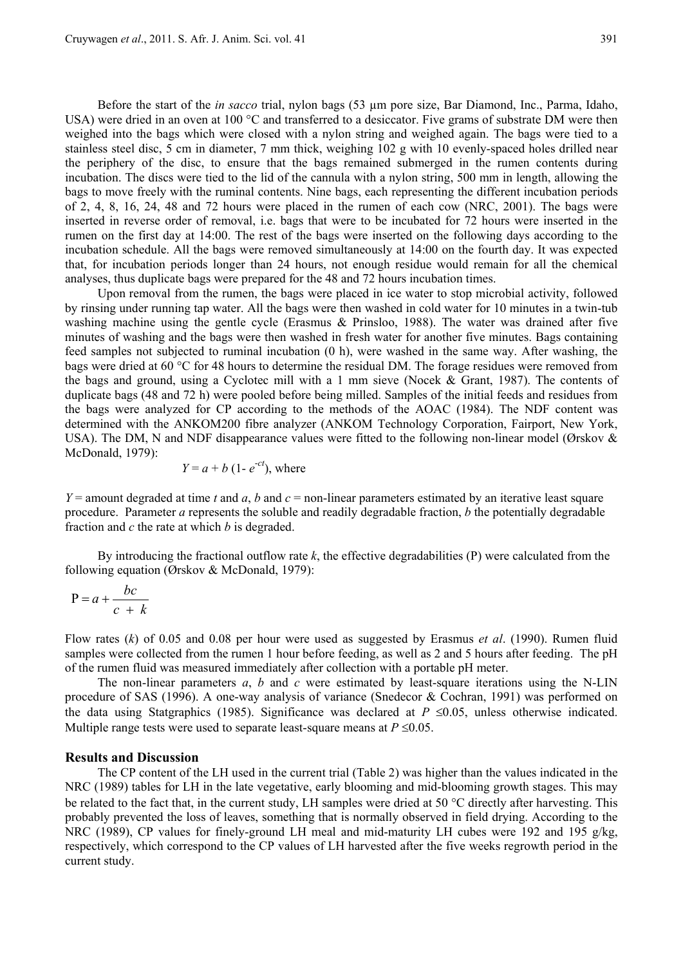Before the start of the *in sacco* trial, nylon bags (53 µm pore size, Bar Diamond, Inc., Parma, Idaho, USA) were dried in an oven at 100  $^{\circ}$ C and transferred to a desiccator. Five grams of substrate DM were then weighed into the bags which were closed with a nylon string and weighed again. The bags were tied to a stainless steel disc, 5 cm in diameter, 7 mm thick, weighing 102 g with 10 evenly-spaced holes drilled near the periphery of the disc, to ensure that the bags remained submerged in the rumen contents during incubation. The discs were tied to the lid of the cannula with a nylon string, 500 mm in length, allowing the bags to move freely with the ruminal contents. Nine bags, each representing the different incubation periods of 2, 4, 8, 16, 24, 48 and 72 hours were placed in the rumen of each cow (NRC, 2001). The bags were inserted in reverse order of removal, i.e. bags that were to be incubated for 72 hours were inserted in the rumen on the first day at 14:00. The rest of the bags were inserted on the following days according to the incubation schedule. All the bags were removed simultaneously at 14:00 on the fourth day. It was expected that, for incubation periods longer than 24 hours, not enough residue would remain for all the chemical analyses, thus duplicate bags were prepared for the 48 and 72 hours incubation times.

Upon removal from the rumen, the bags were placed in ice water to stop microbial activity, followed by rinsing under running tap water. All the bags were then washed in cold water for 10 minutes in a twin-tub washing machine using the gentle cycle (Erasmus & Prinsloo, 1988). The water was drained after five minutes of washing and the bags were then washed in fresh water for another five minutes. Bags containing feed samples not subjected to ruminal incubation (0 h), were washed in the same way. After washing, the bags were dried at 60 °C for 48 hours to determine the residual DM. The forage residues were removed from the bags and ground, using a Cyclotec mill with a 1 mm sieve (Nocek & Grant, 1987). The contents of duplicate bags (48 and 72 h) were pooled before being milled. Samples of the initial feeds and residues from the bags were analyzed for CP according to the methods of the AOAC (1984). The NDF content was determined with the ANKOM200 fibre analyzer (ANKOM Technology Corporation, Fairport, New York, USA). The DM, N and NDF disappearance values were fitted to the following non-linear model (Ørskov & McDonald, 1979):

$$
Y = a + b (1 - e^{-ct})
$$
, where

*Y* = amount degraded at time *t* and *a*, *b* and *c* = non-linear parameters estimated by an iterative least square procedure. Parameter *a* represents the soluble and readily degradable fraction, *b* the potentially degradable fraction and *c* the rate at which *b* is degraded.

By introducing the fractional outflow rate *k*, the effective degradabilities (P) were calculated from the following equation (Ørskov & McDonald, 1979):

$$
P = a + \frac{bc}{c + k}
$$

Flow rates (*k*) of 0.05 and 0.08 per hour were used as suggested by Erasmus *et al*. (1990). Rumen fluid samples were collected from the rumen 1 hour before feeding, as well as 2 and 5 hours after feeding. The pH of the rumen fluid was measured immediately after collection with a portable pH meter.

The non-linear parameters *a*, *b* and *c* were estimated by least-square iterations using the N-LIN procedure of SAS (1996). A one-way analysis of variance (Snedecor & Cochran, 1991) was performed on the data using Statgraphics (1985). Significance was declared at  $P \le 0.05$ , unless otherwise indicated. Multiple range tests were used to separate least-square means at  $P \le 0.05$ .

## **Results and Discussion**

The CP content of the LH used in the current trial (Table 2) was higher than the values indicated in the NRC (1989) tables for LH in the late vegetative, early blooming and mid-blooming growth stages. This may be related to the fact that, in the current study, LH samples were dried at 50 °C directly after harvesting. This probably prevented the loss of leaves, something that is normally observed in field drying. According to the NRC (1989), CP values for finely-ground LH meal and mid-maturity LH cubes were 192 and 195 g/kg, respectively, which correspond to the CP values of LH harvested after the five weeks regrowth period in the current study.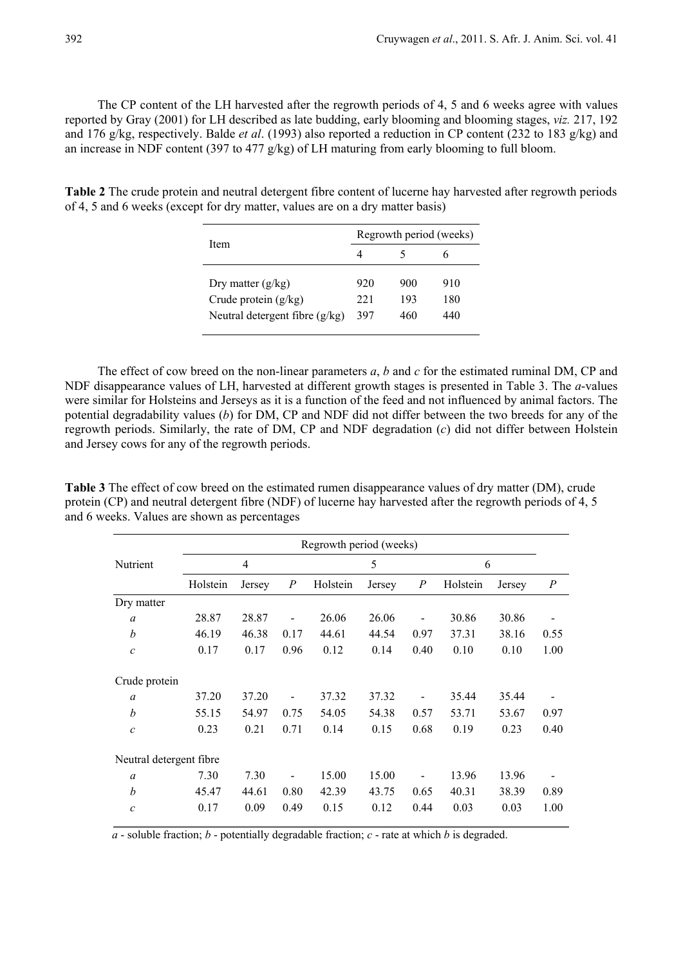The CP content of the LH harvested after the regrowth periods of 4, 5 and 6 weeks agree with values reported by Gray (2001) for LH described as late budding, early blooming and blooming stages, *viz.* 217, 192 and 176 g/kg, respectively. Balde *et al*. (1993) also reported a reduction in CP content (232 to 183 g/kg) and an increase in NDF content (397 to 477  $g/kg$ ) of LH maturing from early blooming to full bloom.

**Table 2** The crude protein and neutral detergent fibre content of lucerne hay harvested after regrowth periods of 4, 5 and 6 weeks (except for dry matter, values are on a dry matter basis)

| Item                                                                              | Regrowth period (weeks) |                   |                   |  |  |  |
|-----------------------------------------------------------------------------------|-------------------------|-------------------|-------------------|--|--|--|
|                                                                                   | 4                       |                   |                   |  |  |  |
| Dry matter $(g/kg)$<br>Crude protein $(g/kg)$<br>Neutral detergent fibre $(g/kg)$ | 920<br>221<br>397       | 900<br>193<br>460 | 910<br>180<br>440 |  |  |  |

The effect of cow breed on the non-linear parameters *a*, *b* and *c* for the estimated ruminal DM, CP and NDF disappearance values of LH, harvested at different growth stages is presented in Table 3. The *a*-values were similar for Holsteins and Jerseys as it is a function of the feed and not influenced by animal factors. The potential degradability values (*b*) for DM, CP and NDF did not differ between the two breeds for any of the regrowth periods. Similarly, the rate of DM, CP and NDF degradation (*c*) did not differ between Holstein and Jersey cows for any of the regrowth periods.

**Table 3** The effect of cow breed on the estimated rumen disappearance values of dry matter (DM), crude protein (CP) and neutral detergent fibre (NDF) of lucerne hay harvested after the regrowth periods of 4, 5 and 6 weeks. Values are shown as percentages

|                         |          |        |                  | Regrowth period (weeks) |        |                |          |        |                |  |  |
|-------------------------|----------|--------|------------------|-------------------------|--------|----------------|----------|--------|----------------|--|--|
| Nutrient                |          | 4      |                  |                         | 5      |                | 6        |        |                |  |  |
|                         | Holstein | Jersey | $\boldsymbol{P}$ | Holstein                | Jersey | $\overline{P}$ | Holstein | Jersey | $\overline{P}$ |  |  |
| Dry matter              |          |        |                  |                         |        |                |          |        |                |  |  |
| a                       | 28.87    | 28.87  | $\overline{a}$   | 26.06                   | 26.06  |                | 30.86    | 30.86  |                |  |  |
| b                       | 46.19    | 46.38  | 0.17             | 44.61                   | 44.54  | 0.97           | 37.31    | 38.16  | 0.55           |  |  |
| $\mathcal C$            | 0.17     | 0.17   | 0.96             | 0.12                    | 0.14   | 0.40           | 0.10     | 0.10   | 1.00           |  |  |
| Crude protein           |          |        |                  |                         |        |                |          |        |                |  |  |
| $\boldsymbol{a}$        | 37.20    | 37.20  | $\overline{a}$   | 37.32                   | 37.32  |                | 35.44    | 35.44  |                |  |  |
| b                       | 55.15    | 54.97  | 0.75             | 54.05                   | 54.38  | 0.57           | 53.71    | 53.67  | 0.97           |  |  |
| $\boldsymbol{c}$        | 0.23     | 0.21   | 0.71             | 0.14                    | 0.15   | 0.68           | 0.19     | 0.23   | 0.40           |  |  |
| Neutral detergent fibre |          |        |                  |                         |        |                |          |        |                |  |  |
| a                       | 7.30     | 7.30   |                  | 15.00                   | 15.00  |                | 13.96    | 13.96  |                |  |  |
| b                       | 45.47    | 44.61  | 0.80             | 42.39                   | 43.75  | 0.65           | 40.31    | 38.39  | 0.89           |  |  |
| $\mathcal{C}$           | 0.17     | 0.09   | 0.49             | 0.15                    | 0.12   | 0.44           | 0.03     | 0.03   | 1.00           |  |  |

 $\overline{a}$  - soluble fraction;  $\overline{b}$  - potentially degradable fraction;  $\overline{c}$  - rate at which  $\overline{b}$  is degraded.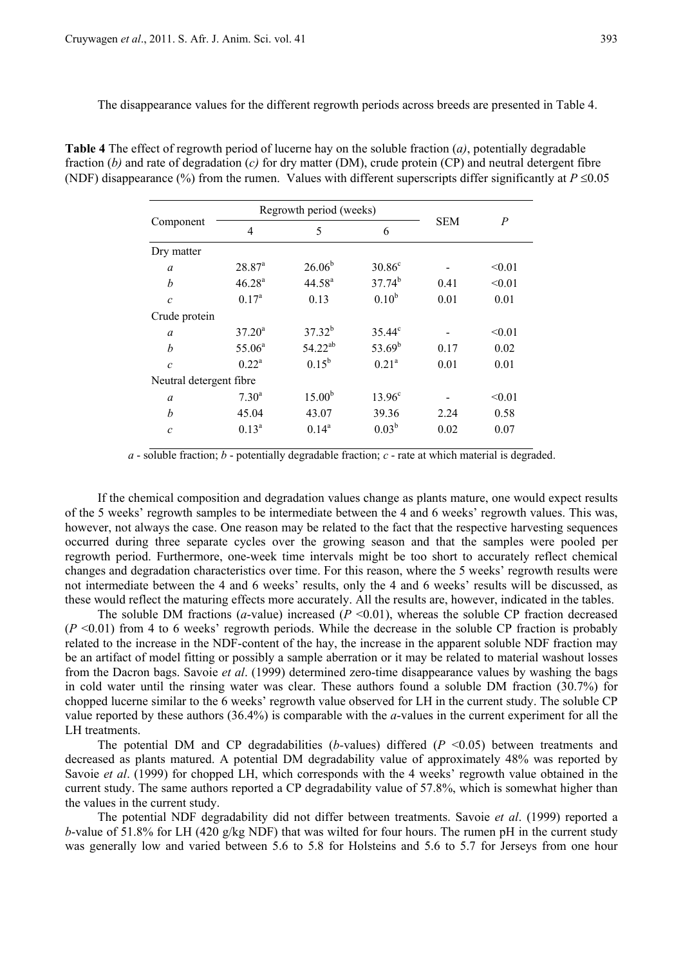The disappearance values for the different regrowth periods across breeds are presented in Table 4.

| <b>Table 4</b> The effect of regrowth period of lucerne hay on the soluble fraction $(a)$ , potentially degradable |
|--------------------------------------------------------------------------------------------------------------------|
| fraction (b) and rate of degradation (c) for dry matter (DM), crude protein (CP) and neutral detergent fibre       |
| (NDF) disappearance (%) from the rumen. Values with different superscripts differ significantly at $P \le 0.05$    |

|                         |                     | Regrowth period (weeks) |                   |            |                |  |
|-------------------------|---------------------|-------------------------|-------------------|------------|----------------|--|
| Component               | 5<br>$\overline{4}$ |                         | 6                 | <b>SEM</b> | $\overline{P}$ |  |
| Dry matter              |                     |                         |                   |            |                |  |
| $\mathfrak a$           | $28.87^a$           | $26.06^{b}$             | $30.86^{\circ}$   |            | < 0.01         |  |
| b                       | $46.28^{a}$         | $44.58^{a}$             | $37.74^{b}$       | 0.41       | < 0.01         |  |
| $\mathcal{C}$           | 0.17 <sup>a</sup>   | 0.13                    | $0.10^{b}$        | 0.01       | 0.01           |  |
| Crude protein           |                     |                         |                   |            |                |  |
| $\alpha$                | $37.20^a$           | $37.32^{b}$             | $35.44^{\circ}$   |            | < 0.01         |  |
| b                       | $55.06^a$           | $54.22^{ab}$            | $53.69^{b}$       | 0.17       | 0.02           |  |
| $\mathcal C$            | $0.22^a$            | $0.15^{b}$              | 0.21 <sup>a</sup> | 0.01       | 0.01           |  |
| Neutral detergent fibre |                     |                         |                   |            |                |  |
| a                       | $7.30^{\rm a}$      | 15.00 <sup>b</sup>      | $13.96^{\circ}$   |            | < 0.01         |  |
| h                       | 45.04               | 43.07                   | 39.36             | 2.24       | 0.58           |  |
| $\mathcal C$            | $0.13^{a}$          | $0.14^a$                | $0.03^b$          | 0.02       | 0.07           |  |

 *a* - soluble fraction; *b* - potentially degradable fraction; *c* - rate at which material is degraded.

If the chemical composition and degradation values change as plants mature, one would expect results of the 5 weeks' regrowth samples to be intermediate between the 4 and 6 weeks' regrowth values. This was, however, not always the case. One reason may be related to the fact that the respective harvesting sequences occurred during three separate cycles over the growing season and that the samples were pooled per regrowth period. Furthermore, one-week time intervals might be too short to accurately reflect chemical changes and degradation characteristics over time. For this reason, where the 5 weeks' regrowth results were not intermediate between the 4 and 6 weeks' results, only the 4 and 6 weeks' results will be discussed, as these would reflect the maturing effects more accurately. All the results are, however, indicated in the tables.

The soluble DM fractions (*a*-value) increased ( $P \le 0.01$ ), whereas the soluble CP fraction decreased  $(P \le 0.01)$  from 4 to 6 weeks' regrowth periods. While the decrease in the soluble CP fraction is probably related to the increase in the NDF-content of the hay, the increase in the apparent soluble NDF fraction may be an artifact of model fitting or possibly a sample aberration or it may be related to material washout losses from the Dacron bags. Savoie *et al*. (1999) determined zero-time disappearance values by washing the bags in cold water until the rinsing water was clear. These authors found a soluble DM fraction (30.7%) for chopped lucerne similar to the 6 weeks' regrowth value observed for LH in the current study. The soluble CP value reported by these authors (36.4%) is comparable with the *a*-values in the current experiment for all the LH treatments.

The potential DM and CP degradabilities (*b-*values) differed (*P* <0.05) between treatments and decreased as plants matured. A potential DM degradability value of approximately 48% was reported by Savoie *et al*. (1999) for chopped LH, which corresponds with the 4 weeks' regrowth value obtained in the current study. The same authors reported a CP degradability value of 57.8%, which is somewhat higher than the values in the current study.

The potential NDF degradability did not differ between treatments. Savoie *et al*. (1999) reported a *b*-value of 51.8% for LH (420 g/kg NDF) that was wilted for four hours. The rumen pH in the current study was generally low and varied between 5.6 to 5.8 for Holsteins and 5.6 to 5.7 for Jerseys from one hour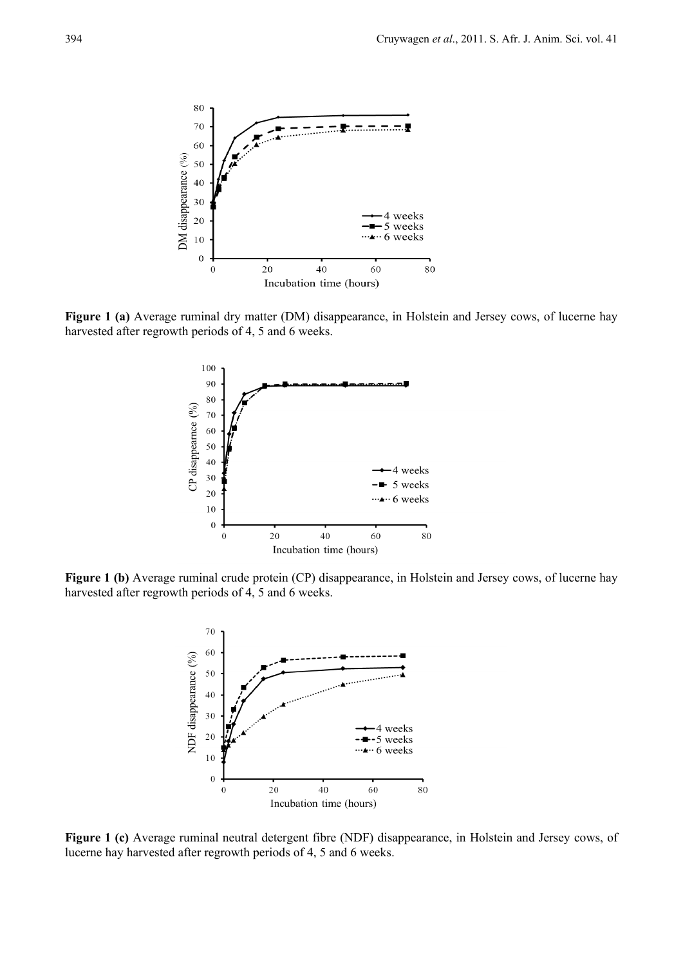

Figure 1 (a) Average ruminal dry matter (DM) disappearance, in Holstein and Jersey cows, of lucerne hay harvested after regrowth periods of 4, 5 and 6 weeks.



**Figure 1 (b)** Average ruminal crude protein (CP) disappearance, in Holstein and Jersey cows, of lucerne hay harvested after regrowth periods of 4, 5 and 6 weeks.



**Figure 1 (c)** Average ruminal neutral detergent fibre (NDF) disappearance, in Holstein and Jersey cows, of lucerne hay harvested after regrowth periods of 4, 5 and 6 weeks.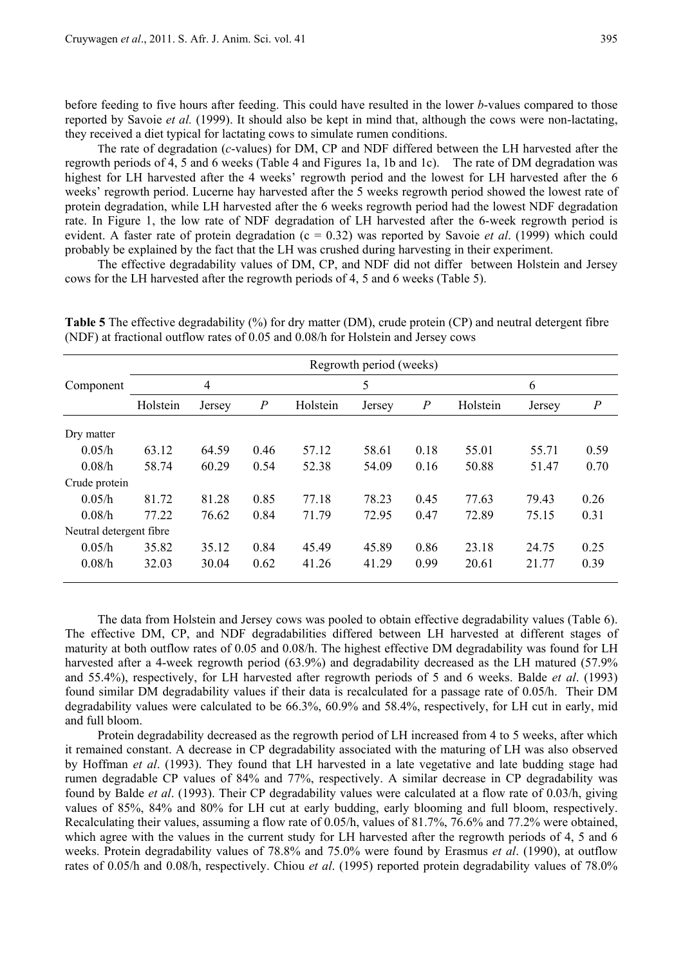before feeding to five hours after feeding. This could have resulted in the lower *b*-values compared to those reported by Savoie *et al.* (1999). It should also be kept in mind that, although the cows were non-lactating, they received a diet typical for lactating cows to simulate rumen conditions.

The rate of degradation (*c*-values) for DM, CP and NDF differed between the LH harvested after the regrowth periods of 4, 5 and 6 weeks (Table 4 and Figures 1a, 1b and 1c). The rate of DM degradation was highest for LH harvested after the 4 weeks' regrowth period and the lowest for LH harvested after the 6 weeks' regrowth period. Lucerne hay harvested after the 5 weeks regrowth period showed the lowest rate of protein degradation, while LH harvested after the 6 weeks regrowth period had the lowest NDF degradation rate. In Figure 1, the low rate of NDF degradation of LH harvested after the 6-week regrowth period is evident. A faster rate of protein degradation  $(c = 0.32)$  was reported by Savoie *et al.* (1999) which could probably be explained by the fact that the LH was crushed during harvesting in their experiment.

The effective degradability values of DM, CP, and NDF did not differ between Holstein and Jersey cows for the LH harvested after the regrowth periods of 4, 5 and 6 weeks (Table 5).

|               |                         |        |                  |          | Regrowth period (weeks) |                |          |        |                  |  |
|---------------|-------------------------|--------|------------------|----------|-------------------------|----------------|----------|--------|------------------|--|
| Component     | 4                       |        |                  |          | 5                       |                |          | 6      |                  |  |
|               | Holstein                | Jersey | $\boldsymbol{P}$ | Holstein | Jersey                  | $\overline{P}$ | Holstein | Jersey | $\boldsymbol{P}$ |  |
| Dry matter    |                         |        |                  |          |                         |                |          |        |                  |  |
| 0.05/h        | 63.12                   | 64.59  | 0.46             | 57.12    | 58.61                   | 0.18           | 55.01    | 55.71  | 0.59             |  |
| 0.08/h        | 58.74                   | 60.29  | 0.54             | 52.38    | 54.09                   | 0.16           | 50.88    | 51.47  | 0.70             |  |
| Crude protein |                         |        |                  |          |                         |                |          |        |                  |  |
| 0.05/h        | 81.72                   | 81.28  | 0.85             | 77.18    | 78.23                   | 0.45           | 77.63    | 79.43  | 0.26             |  |
| 0.08/h        | 77.22                   | 76.62  | 0.84             | 71.79    | 72.95                   | 0.47           | 72.89    | 75.15  | 0.31             |  |
|               | Neutral detergent fibre |        |                  |          |                         |                |          |        |                  |  |
| 0.05/h        | 35.82                   | 35.12  | 0.84             | 45.49    | 45.89                   | 0.86           | 23.18    | 24.75  | 0.25             |  |
| 0.08/h        | 32.03                   | 30.04  | 0.62             | 41.26    | 41.29                   | 0.99           | 20.61    | 21.77  | 0.39             |  |
|               |                         |        |                  |          |                         |                |          |        |                  |  |

**Table 5** The effective degradability (%) for dry matter (DM), crude protein (CP) and neutral detergent fibre (NDF) at fractional outflow rates of 0.05 and 0.08/h for Holstein and Jersey cows

The data from Holstein and Jersey cows was pooled to obtain effective degradability values (Table 6). The effective DM, CP, and NDF degradabilities differed between LH harvested at different stages of maturity at both outflow rates of 0.05 and 0.08/h. The highest effective DM degradability was found for LH harvested after a 4-week regrowth period (63.9%) and degradability decreased as the LH matured (57.9% and 55.4%), respectively, for LH harvested after regrowth periods of 5 and 6 weeks. Balde *et al*. (1993) found similar DM degradability values if their data is recalculated for a passage rate of 0.05/h. Their DM degradability values were calculated to be 66.3%, 60.9% and 58.4%, respectively, for LH cut in early, mid and full bloom.

Protein degradability decreased as the regrowth period of LH increased from 4 to 5 weeks, after which it remained constant. A decrease in CP degradability associated with the maturing of LH was also observed by Hoffman *et al*. (1993). They found that LH harvested in a late vegetative and late budding stage had rumen degradable CP values of 84% and 77%, respectively. A similar decrease in CP degradability was found by Balde *et al*. (1993). Their CP degradability values were calculated at a flow rate of 0.03/h, giving values of 85%, 84% and 80% for LH cut at early budding, early blooming and full bloom, respectively. Recalculating their values, assuming a flow rate of 0.05/h, values of 81.7%, 76.6% and 77.2% were obtained, which agree with the values in the current study for LH harvested after the regrowth periods of 4, 5 and 6 weeks. Protein degradability values of 78.8% and 75.0% were found by Erasmus *et al*. (1990), at outflow rates of 0.05/h and 0.08/h, respectively. Chiou *et al*. (1995) reported protein degradability values of 78.0%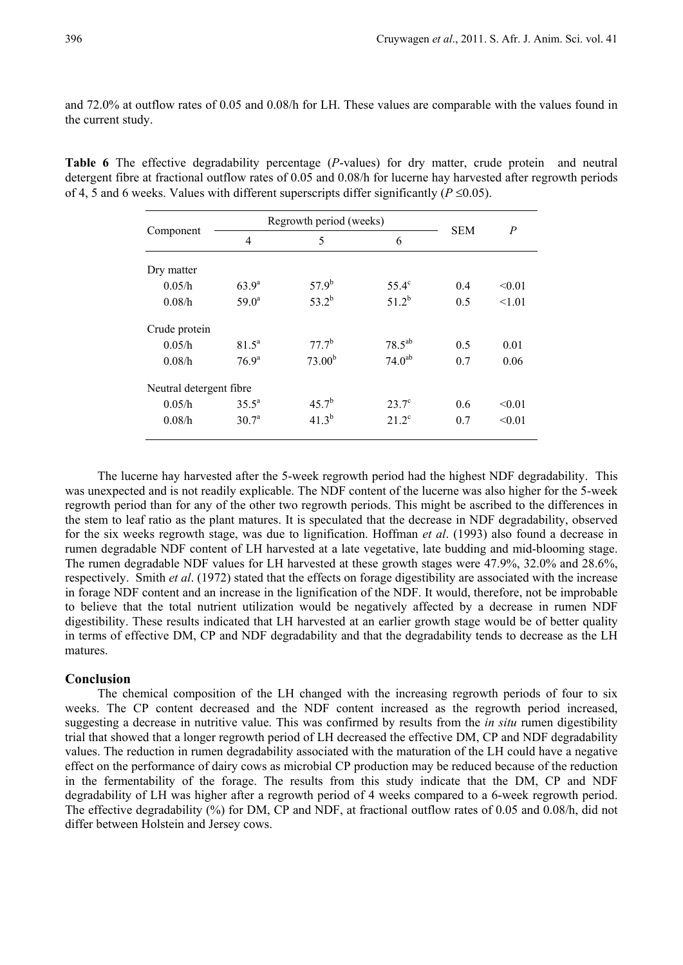and 72.0% at outflow rates of 0.05 and 0.08/h for LH. These values are comparable with the values found in the current study.

|  |  | <b>Table 6</b> The effective degradability percentage (P-values) for dry matter, crude protein and neutral      |  |  |  |  |  |
|--|--|-----------------------------------------------------------------------------------------------------------------|--|--|--|--|--|
|  |  | detergent fibre at fractional outflow rates of 0.05 and 0.08/h for lucerne hay harvested after regrowth periods |  |  |  |  |  |
|  |  | of 4, 5 and 6 weeks. Values with different superscripts differ significantly ( $P \le 0.05$ ).                  |  |  |  |  |  |

|                         | Regrowth period (weeks) | <b>SEM</b>         | P                  |     |        |
|-------------------------|-------------------------|--------------------|--------------------|-----|--------|
| Component               | $\overline{4}$          | 5                  |                    |     |        |
| Dry matter              |                         |                    |                    |     |        |
| 0.05/h                  | $63.9^{\rm a}$          | $57.9^{b}$         | $55.4^{\circ}$     | 0.4 | < 0.01 |
| 0.08/h                  | $59.0^{\circ}$          | $53.2^{b}$         | $51.2^{b}$         | 0.5 | < 1.01 |
| Crude protein           |                         |                    |                    |     |        |
| 0.05/h                  | $81.5^{\circ}$          | $77.7^{b}$         | $78.5^{ab}$        | 0.5 | 0.01   |
| 0.08/h                  | 76.9 <sup>a</sup>       | 73.00 <sup>b</sup> | 74.0 <sup>ab</sup> | 0.7 | 0.06   |
| Neutral detergent fibre |                         |                    |                    |     |        |
| 0.05/h                  | $35.5^{\circ}$          | $45.7^{b}$         | $23.7^{\circ}$     | 0.6 | < 0.01 |
| 0.08/h                  | 30.7 <sup>a</sup>       | $41.3^{b}$         | $21.2^{\circ}$     | 0.7 | < 0.01 |

The lucerne hay harvested after the 5-week regrowth period had the highest NDF degradability. This was unexpected and is not readily explicable. The NDF content of the lucerne was also higher for the 5-week regrowth period than for any of the other two regrowth periods. This might be ascribed to the differences in the stem to leaf ratio as the plant matures. It is speculated that the decrease in NDF degradability, observed for the six weeks regrowth stage, was due to lignification. Hoffman *et al*. (1993) also found a decrease in rumen degradable NDF content of LH harvested at a late vegetative, late budding and mid-blooming stage. The rumen degradable NDF values for LH harvested at these growth stages were 47.9%, 32.0% and 28.6%, respectively. Smith *et al*. (1972) stated that the effects on forage digestibility are associated with the increase in forage NDF content and an increase in the lignification of the NDF. It would, therefore, not be improbable to believe that the total nutrient utilization would be negatively affected by a decrease in rumen NDF digestibility. These results indicated that LH harvested at an earlier growth stage would be of better quality in terms of effective DM, CP and NDF degradability and that the degradability tends to decrease as the LH matures.

#### **Conclusion**

The chemical composition of the LH changed with the increasing regrowth periods of four to six weeks. The CP content decreased and the NDF content increased as the regrowth period increased, suggesting a decrease in nutritive value. This was confirmed by results from the *in situ* rumen digestibility trial that showed that a longer regrowth period of LH decreased the effective DM, CP and NDF degradability values. The reduction in rumen degradability associated with the maturation of the LH could have a negative effect on the performance of dairy cows as microbial CP production may be reduced because of the reduction in the fermentability of the forage. The results from this study indicate that the DM, CP and NDF degradability of LH was higher after a regrowth period of 4 weeks compared to a 6-week regrowth period. The effective degradability (%) for DM, CP and NDF, at fractional outflow rates of 0.05 and 0.08/h, did not differ between Holstein and Jersey cows.